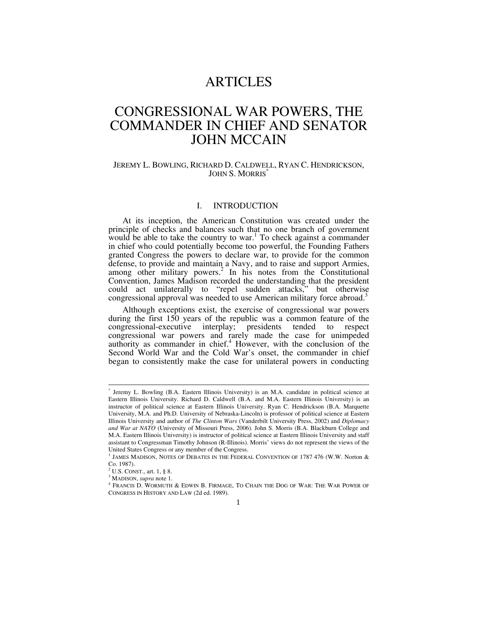## ARTICLES

# CONGRESSIONAL WAR POWERS, THE COMMANDER IN CHIEF AND SENATOR JOHN MCCAIN

#### JEREMY L. BOWLING, RICHARD D. CALDWELL, RYAN C. HENDRICKSON, JOHN S. MORRIS<sup>\*</sup>

### I. INTRODUCTION

At its inception, the American Constitution was created under the principle of checks and balances such that no one branch of government would be able to take the country to war.<sup>1</sup> To check against a commander in chief who could potentially become too powerful, the Founding Fathers granted Congress the powers to declare war, to provide for the common defense, to provide and maintain a Navy, and to raise and support Armies, among other military powers.<sup>2</sup> In his notes from the Constitutional Convention, James Madison recorded the understanding that the president could act unilaterally to "repel sudden attacks," but otherwise congressional approval was needed to use American military force abroad.<sup>3</sup>

Although exceptions exist, the exercise of congressional war powers during the first 150 years of the republic was a common feature of the congressional-executive interplay; presidents tended to respect congressional war powers and rarely made the case for unimpeded authority as commander in chief. $4$  However, with the conclusion of the Second World War and the Cold War's onset, the commander in chief began to consistently make the case for unilateral powers in conducting

 <sup>\*</sup> Jeremy L. Bowling (B.A. Eastern Illinois University) is an M.A. candidate in political science at Eastern Illinois University. Richard D. Caldwell (B.A. and M.A. Eastern Illinois University) is an instructor of political science at Eastern Illinois University. Ryan C. Hendrickson (B.A. Marquette University, M.A. and Ph.D. University of Nebraska-Lincoln) is professor of political science at Eastern Illinois University and author of *The Clinton Wars* (Vanderbilt University Press, 2002) and *Diplomacy and War at NATO* (University of Missouri Press, 2006). John S. Morris (B.A. Blackburn College and M.A. Eastern Illinois University) is instructor of political science at Eastern Illinois University and staff assistant to Congressman Timothy Johnson (R-Illinois). Morris' views do not represent the views of the United States Congress or any member of the Congress.

 $^1$  JAMES MADISON, NOTES OF DEBATES IN THE FEDERAL CONVENTION OF 1787 476 (W.W. Norton  $\&$ Co. 1987).

<sup>&</sup>lt;sup>2</sup> U.S. CONST., art. 1, § 8.<br><sup>3</sup> MADISON, sunna pote 1

<sup>&</sup>lt;sup>3</sup> MADISON, *supra* note 1.

FRANCIS D. WORMUTH & EDWIN B. FIRMAGE, TO CHAIN THE DOG OF WAR: THE WAR POWER OF CONGRESS IN HISTORY AND LAW (2d ed. 1989).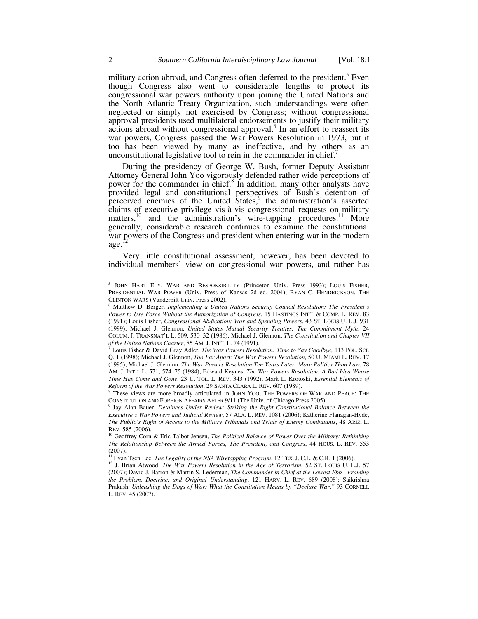military action abroad, and Congress often deferred to the president.<sup>5</sup> Even though Congress also went to considerable lengths to protect its congressional war powers authority upon joining the United Nations and the North Atlantic Treaty Organization, such understandings were often neglected or simply not exercised by Congress; without congressional approval presidents used multilateral endorsements to justify their military actions abroad without congressional approval.<sup>6</sup> In an effort to reassert its war powers, Congress passed the War Powers Resolution in 1973, but it too has been viewed by many as ineffective, and by others as an unconstitutional legislative tool to rein in the commander in chief.<sup>7</sup>

During the presidency of George W. Bush, former Deputy Assistant Attorney General John Yoo vigorously defended rather wide perceptions of power for the commander in chief.<sup>8</sup> In addition, many other analysts have provided legal and constitutional perspectives of Bush's detention of perceived enemies of the United  $\overline{\text{States}}$ , the administration's asserted claims of executive privilege vis-à-vis congressional requests on military matters,<sup>10</sup> and the administration's wire-tapping procedures.<sup>11</sup> More generally, considerable research continues to examine the constitutional war powers of the Congress and president when entering war in the modern age.

Very little constitutional assessment, however, has been devoted to individual members' view on congressional war powers, and rather has

 <sup>5</sup> <sup>5</sup> JOHN HART ELY, WAR AND RESPONSIBILITY (Princeton Univ. Press 1993); LOUIS FISHER, PRESIDENTIAL WAR POWER (Univ. Press of Kansas 2d ed. 2004); RYAN C. HENDRICKSON, THE CLINTON WARS (Vanderbilt Univ. Press 2002).

Matthew D. Berger, *Implementing a United Nations Security Council Resolution: The President's Power to Use Force Without the Authorization of Congress*, 15 HASTINGS INT'L & COMP. L. REV. 83 (1991); Louis Fisher, *Congressional Abdication: War and Spending Powers*, 43 ST. LOUIS U. L.J. 931 (1999); Michael J. Glennon, *United States Mutual Security Treaties: The Commitment Myth*, 24 COLUM. J. TRANSNAT'L L. 509, 530–32 (1986); Michael J. Glennon, *The Constitution and Chapter VII of the United Nations Charter*, 85 AM. J. INT'L L. 74 (1991).

Louis Fisher & David Gray Adler, *The War Powers Resolution: Time to Say Goodbye*, 113 POL. SCI. Q. 1 (1998); Michael J. Glennon, *Too Far Apart: The War Powers Resolution*, 50 U. MIAMI L. REV. 17 (1995); Michael J. Glennon, *The War Powers Resolution Ten Years Later: More Politics Than Law*, 78 AM. J. INT'L L. 571, 574–75 (1984); Edward Keynes, *The War Powers Resolution: A Bad Idea Whose Time Has Come and Gone*, 23 U. TOL. L. REV. 343 (1992); Mark L. Krotoski, *Essential Elements of Reform of the War Powers Resolution*, 29 SANTA CLARA L. REV. 607 (1989). 8

<sup>&</sup>lt;sup>8</sup> These views are more broadly articulated in JOHN YOO, THE POWERS OF WAR AND PEACE: THE

CONSTITUTION AND FOREIGN AFFAIRS AFTER 9/11 (The Univ. of Chicago Press 2005).<br><sup>9</sup> Jay Alan Bauer, *Detainees Under Review: Striking the Right Constitutional Balance Between the Executive's War Powers and Judicial Review*, 57 ALA. L. REV. 1081 (2006); Katherine Flanagan-Hyde, *The Public's Right of Access to the Military Tribunals and Trials of Enemy Combatants*, 48 ARIZ. L. REV. 585 (2006).<br><sup>10</sup> Geoffrey Corn & Eric Talbot Jensen, *The Political Balance of Power Over the Military: Rethinking* 

*The Relationship Between the Armed Forces, The President, and Congress*, 44 HOUS. L. REV. 553 (2007).

<sup>&</sup>lt;sup>11</sup> Evan Tsen Lee, *The Legality of the NSA Wiretapping Program*, 12 TEX. J. C.L. & C.R. 1 (2006). <sup>12</sup> J. Brian Atwood, *The War Powers Resolution in the Age of Terrorism*, 52 ST. LOUIS U. L.J. 57

<sup>(2007);</sup> David J. Barron & Martin S. Lederman, *The Commander in Chief at the Lowest Ebb—Framing the Problem, Doctrine, and Original Understanding*, 121 HARV. L. REV. 689 (2008); Saikrishna Prakash, *Unleashing the Dogs of War: What the Constitution Means by "Declare War*,*"* 93 CORNELL L. REV. 45 (2007).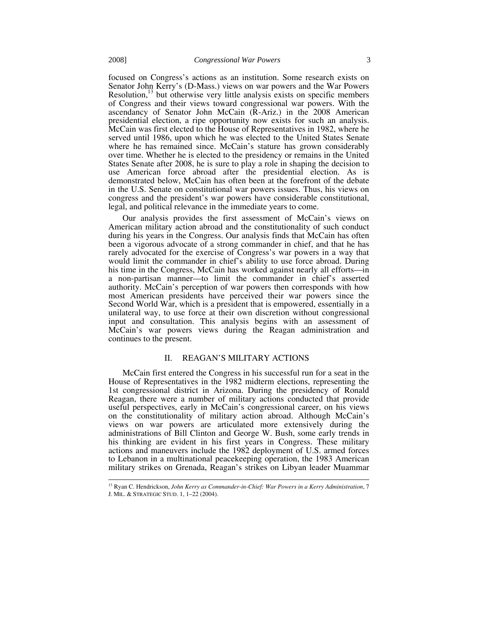focused on Congress's actions as an institution. Some research exists on Senator John Kerry's (D-Mass.) views on war powers and the War Powers Resolution, $^{13}$  but otherwise very little analysis exists on specific members of Congress and their views toward congressional war powers. With the ascendancy of Senator John McCain (R-Ariz.) in the 2008 American presidential election, a ripe opportunity now exists for such an analysis. McCain was first elected to the House of Representatives in 1982, where he served until 1986, upon which he was elected to the United States Senate where he has remained since. McCain's stature has grown considerably over time. Whether he is elected to the presidency or remains in the United States Senate after 2008, he is sure to play a role in shaping the decision to use American force abroad after the presidential election. As is demonstrated below, McCain has often been at the forefront of the debate in the U.S. Senate on constitutional war powers issues. Thus, his views on congress and the president's war powers have considerable constitutional, legal, and political relevance in the immediate years to come.

Our analysis provides the first assessment of McCain's views on American military action abroad and the constitutionality of such conduct during his years in the Congress. Our analysis finds that McCain has often been a vigorous advocate of a strong commander in chief, and that he has rarely advocated for the exercise of Congress's war powers in a way that would limit the commander in chief's ability to use force abroad. During his time in the Congress, McCain has worked against nearly all efforts—in a non-partisan manner—to limit the commander in chief's asserted authority. McCain's perception of war powers then corresponds with how most American presidents have perceived their war powers since the Second World War, which is a president that is empowered, essentially in a unilateral way, to use force at their own discretion without congressional input and consultation. This analysis begins with an assessment of McCain's war powers views during the Reagan administration and continues to the present.

#### II. REAGAN'S MILITARY ACTIONS

McCain first entered the Congress in his successful run for a seat in the House of Representatives in the 1982 midterm elections, representing the 1st congressional district in Arizona. During the presidency of Ronald Reagan, there were a number of military actions conducted that provide useful perspectives, early in McCain's congressional career, on his views on the constitutionality of military action abroad. Although McCain's views on war powers are articulated more extensively during the administrations of Bill Clinton and George W. Bush, some early trends in his thinking are evident in his first years in Congress. These military actions and maneuvers include the 1982 deployment of U.S. armed forces to Lebanon in a multinational peacekeeping operation, the 1983 American military strikes on Grenada, Reagan's strikes on Libyan leader Muammar

 <sup>13</sup> Ryan C. Hendrickson, *John Kerry as Commander-in-Chief: War Powers in a Kerry Administration*, 7 J. MIL. & STRATEGIC STUD. 1, 1–22 (2004).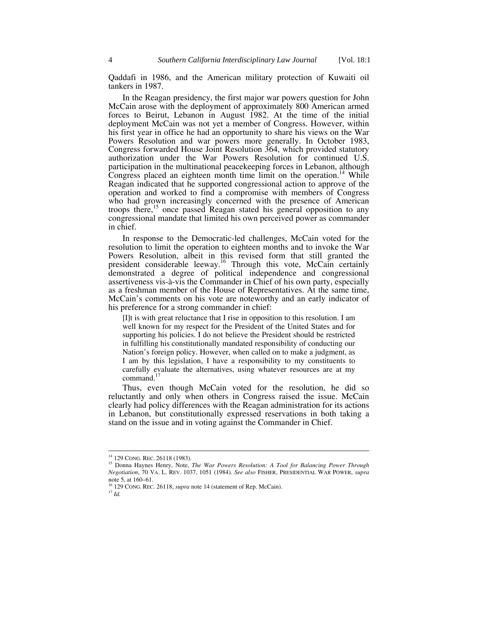Qaddafi in 1986, and the American military protection of Kuwaiti oil tankers in 1987.

In the Reagan presidency, the first major war powers question for John McCain arose with the deployment of approximately 800 American armed forces to Beirut, Lebanon in August 1982. At the time of the initial deployment McCain was not yet a member of Congress. However, within his first year in office he had an opportunity to share his views on the War Powers Resolution and war powers more generally. In October 1983, Congress forwarded House Joint Resolution 364, which provided statutory authorization under the War Powers Resolution for continued U.S. participation in the multinational peacekeeping forces in Lebanon, although Congress placed an eighteen month time limit on the operation.<sup>14</sup> While Reagan indicated that he supported congressional action to approve of the operation and worked to find a compromise with members of Congress who had grown increasingly concerned with the presence of American troops there,<sup>15</sup> once passed Reagan stated his general opposition to any congressional mandate that limited his own perceived power as commander in chief.

In response to the Democratic-led challenges, McCain voted for the resolution to limit the operation to eighteen months and to invoke the War Powers Resolution, albeit in this revised form that still granted the president considerable leeway.<sup>16</sup> Through this vote, McCain certainly demonstrated a degree of political independence and congressional assertiveness vis-à-vis the Commander in Chief of his own party, especially as a freshman member of the House of Representatives. At the same time, McCain's comments on his vote are noteworthy and an early indicator of his preference for a strong commander in chief:

[I]t is with great reluctance that I rise in opposition to this resolution. I am well known for my respect for the President of the United States and for supporting his policies. I do not believe the President should be restricted in fulfilling his constitutionally mandated responsibility of conducting our Nation's foreign policy. However, when called on to make a judgment, as I am by this legislation, I have a responsibility to my constituents to carefully evaluate the alternatives, using whatever resources are at my command. $17$ 

Thus, even though McCain voted for the resolution, he did so reluctantly and only when others in Congress raised the issue. McCain clearly had policy differences with the Reagan administration for its actions in Lebanon, but constitutionally expressed reservations in both taking a stand on the issue and in voting against the Commander in Chief.

<sup>&</sup>lt;sup>14</sup> 129 CONG. REC. 26118 (1983).<br><sup>15</sup> Donna Haynes Henry, Note, *The War Powers Resolution: A Tool for Balancing Power Through Negotiation*, 70 VA. L. REV. 1037, 1051 (1984). *See also* FISHER, PRESIDENTIAL WAR POWER, *supra* note 5, at 160–61.

<sup>16 129</sup> CONG. REC. 26118, *supra* note 14 (statement of Rep. McCain). 17 *Id.*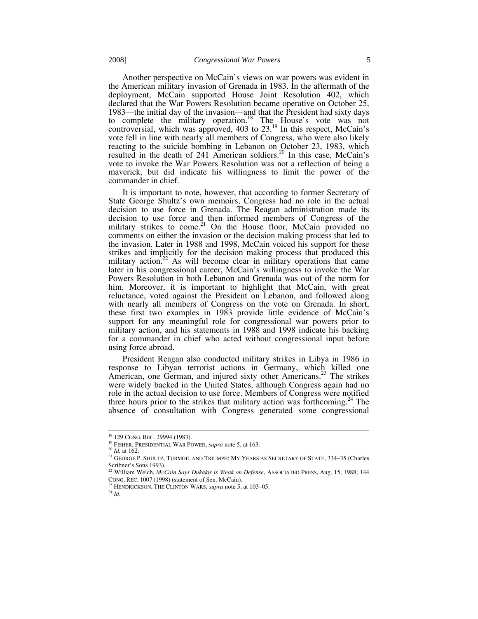Another perspective on McCain's views on war powers was evident in the American military invasion of Grenada in 1983. In the aftermath of the deployment, McCain supported House Joint Resolution 402, which declared that the War Powers Resolution became operative on October 25, 1983—the initial day of the invasion—and that the President had sixty days to complete the military operation.<sup>18</sup> The House's vote was not controversial, which was approved,  $403$  to  $23<sup>19</sup>$  In this respect, McCain's vote fell in line with nearly all members of Congress, who were also likely reacting to the suicide bombing in Lebanon on October 23, 1983, which resulted in the death of 241 American soldiers.<sup>20</sup> In this case, McCain's vote to invoke the War Powers Resolution was not a reflection of being a maverick, but did indicate his willingness to limit the power of the commander in chief.

It is important to note, however, that according to former Secretary of State George Shultz's own memoirs, Congress had no role in the actual decision to use force in Grenada. The Reagan administration made its decision to use force and then informed members of Congress of the military strikes to come. $2<sup>1</sup>$  On the House floor, McCain provided no comments on either the invasion or the decision making process that led to the invasion. Later in 1988 and 1998, McCain voiced his support for these strikes and implicitly for the decision making process that produced this military action.<sup>22</sup> As will become clear in military operations that came later in his congressional career, McCain's willingness to invoke the War Powers Resolution in both Lebanon and Grenada was out of the norm for him. Moreover, it is important to highlight that McCain, with great reluctance, voted against the President on Lebanon, and followed along with nearly all members of Congress on the vote on Grenada. In short, these first two examples in 1983 provide little evidence of McCain's support for any meaningful role for congressional war powers prior to military action, and his statements in 1988 and 1998 indicate his backing for a commander in chief who acted without congressional input before using force abroad.

President Reagan also conducted military strikes in Libya in 1986 in response to Libyan terrorist actions in Germany, which killed one American, one German, and injured sixty other Americans.<sup>23</sup> The strikes were widely backed in the United States, although Congress again had no role in the actual decision to use force. Members of Congress were notified three hours prior to the strikes that military action was forthcoming.<sup>24</sup> The absence of consultation with Congress generated some congressional

<sup>&</sup>lt;sup>18</sup> 129 CONG. REC. 29994 (1983).<br><sup>19</sup> FISHER, PRESIDENTIAL WAR POWER, *supra* note 5, at 163.<br><sup>20</sup> *Id.* at 162. 21 GEORGE P. SHULTZ, TURMOIL AND TRIUMPH: MY YEARS AS SECRETARY OF STATE, 334–35 (Charles Scribner's Sons 1993).

<sup>22</sup> William Welch, *McCain Says Dukakis is Weak on Defense,* ASSOCIATED PRESS, Aug. 15, 1988; 144 CONG. REC. <sup>1007</sup> (1998) (statement of Sen. McCain). 23 HENDRICKSON, THE CLINTON WARS, *supra* note 5, at 103–05. 24 *Id.*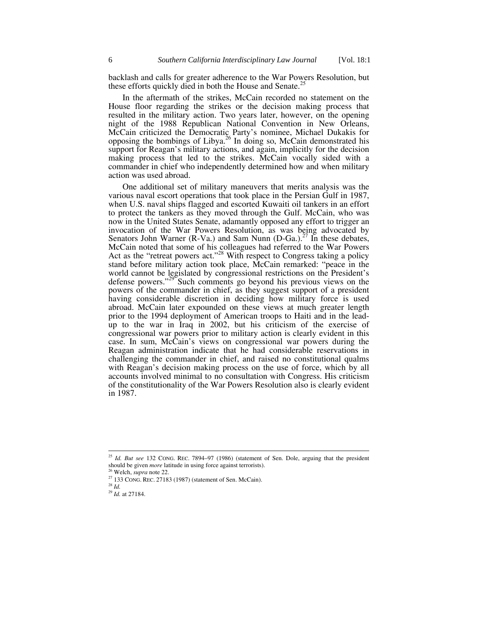backlash and calls for greater adherence to the War Powers Resolution, but these efforts quickly died in both the House and Senate.<sup>25</sup>

In the aftermath of the strikes, McCain recorded no statement on the House floor regarding the strikes or the decision making process that resulted in the military action. Two years later, however, on the opening night of the 1988 Republican National Convention in New Orleans, McCain criticized the Democratic Party's nominee, Michael Dukakis for opposing the bombings of Libya.<sup>26</sup> In doing so, McCain demonstrated his support for Reagan's military actions, and again, implicitly for the decision making process that led to the strikes. McCain vocally sided with a commander in chief who independently determined how and when military action was used abroad.

One additional set of military maneuvers that merits analysis was the various naval escort operations that took place in the Persian Gulf in 1987, when U.S. naval ships flagged and escorted Kuwaiti oil tankers in an effort to protect the tankers as they moved through the Gulf. McCain, who was now in the United States Senate, adamantly opposed any effort to trigger an invocation of the War Powers Resolution, as was being advocated by Senators John Warner (R-Va.) and Sam Nunn  $(D-Ga.)^{27}$  In these debates, McCain noted that some of his colleagues had referred to the War Powers Act as the "retreat powers act."<sup>28</sup> With respect to Congress taking a policy stand before military action took place, McCain remarked: "peace in the world cannot be legislated by congressional restrictions on the President's defense powers." $29^\circ$  Such comments go beyond his previous views on the powers of the commander in chief, as they suggest support of a president having considerable discretion in deciding how military force is used abroad. McCain later expounded on these views at much greater length prior to the 1994 deployment of American troops to Haiti and in the leadup to the war in Iraq in 2002, but his criticism of the exercise of congressional war powers prior to military action is clearly evident in this case. In sum, McCain's views on congressional war powers during the Reagan administration indicate that he had considerable reservations in challenging the commander in chief, and raised no constitutional qualms with Reagan's decision making process on the use of force, which by all accounts involved minimal to no consultation with Congress. His criticism of the constitutionality of the War Powers Resolution also is clearly evident in 1987.

<sup>&</sup>lt;sup>25</sup> *Id. But see* 132 CONG. REC. 7894–97 (1986) (statement of Sen. Dole, arguing that the president should be given *more* latitude in using force against terrorists).

<sup>&</sup>lt;sup>26</sup> Welch, *supra* note 22.<br><sup>27</sup> 133 CONG. REC. 27183 (1987) (statement of Sen. McCain). <sup>28</sup> *Id.* 

<sup>29</sup> *Id.* at 27184.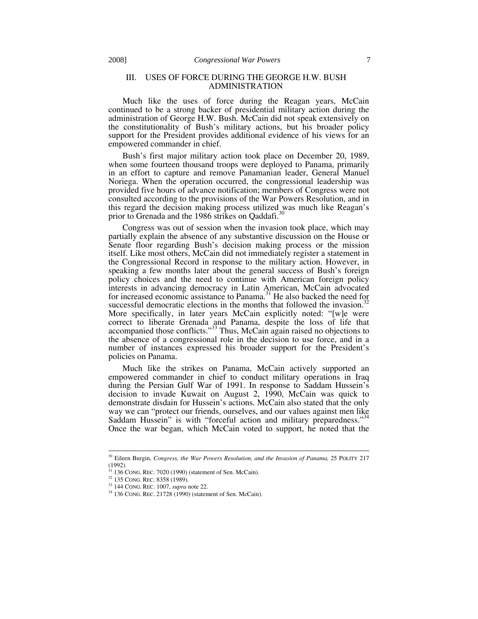#### III. USES OF FORCE DURING THE GEORGE H.W. BUSH ADMINISTRATION

Much like the uses of force during the Reagan years, McCain continued to be a strong backer of presidential military action during the administration of George H.W. Bush. McCain did not speak extensively on the constitutionality of Bush's military actions, but his broader policy support for the President provides additional evidence of his views for an empowered commander in chief.

Bush's first major military action took place on December 20, 1989, when some fourteen thousand troops were deployed to Panama, primarily in an effort to capture and remove Panamanian leader, General Manuel Noriega. When the operation occurred, the congressional leadership was provided five hours of advance notification; members of Congress were not consulted according to the provisions of the War Powers Resolution, and in this regard the decision making process utilized was much like Reagan's prior to Grenada and the 1986 strikes on Qaddafi.<sup>30</sup>

Congress was out of session when the invasion took place, which may partially explain the absence of any substantive discussion on the House or Senate floor regarding Bush's decision making process or the mission itself. Like most others, McCain did not immediately register a statement in the Congressional Record in response to the military action. However, in speaking a few months later about the general success of Bush's foreign policy choices and the need to continue with American foreign policy interests in advancing democracy in Latin American, McCain advocated for increased economic assistance to Panama.<sup>31</sup> He also backed the need for successful democratic elections in the months that followed the invasion.<sup>32</sup> More specifically, in later years McCain explicitly noted: "[w]e were correct to liberate Grenada and Panama, despite the loss of life that accompanied those conflicts."<sup>33</sup> Thus, McCain again raised no objections to the absence of a congressional role in the decision to use force, and in a number of instances expressed his broader support for the President's policies on Panama.

Much like the strikes on Panama, McCain actively supported an empowered commander in chief to conduct military operations in Iraq during the Persian Gulf War of 1991. In response to Saddam Hussein's decision to invade Kuwait on August 2, 1990, McCain was quick to demonstrate disdain for Hussein's actions. McCain also stated that the only way we can "protect our friends, ourselves, and our values against men like Saddam Hussein" is with "forceful action and military preparedness."<sup>34</sup> Once the war began, which McCain voted to support, he noted that the

 <sup>30</sup> Eileen Burgin, *Congress, the War Powers Resolution, and the Invasion of Panama,* 25 POLITY 217 (1992).<br><sup>31</sup> 136 CONG. REC. 7020 (1990) (statement of Sen. McCain).

<sup>&</sup>lt;sup>32</sup> 135 CONG. REC. 8358 (1989).<br><sup>33</sup> 144 CONG. REC. 1007, *supra* note 22.<br><sup>34</sup> 136 CONG. REC. 21728 (1990) (statement of Sen. McCain).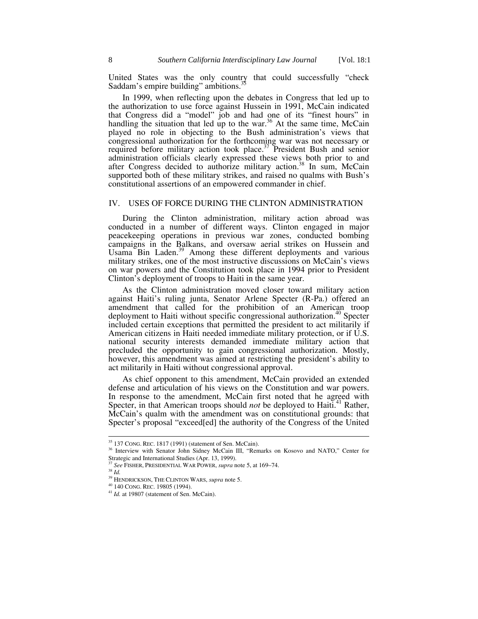United States was the only country that could successfully "check Saddam's empire building" ambitions.

In 1999, when reflecting upon the debates in Congress that led up to the authorization to use force against Hussein in 1991, McCain indicated that Congress did a "model" job and had one of its "finest hours" in handling the situation that led up to the war.<sup>36</sup> At the same time, McCain played no role in objecting to the Bush administration's views that congressional authorization for the forthcoming war was not necessary or required before military action took place.<sup>37</sup> President Bush and senior administration officials clearly expressed these views both prior to and after Congress decided to authorize military action.<sup>38</sup> In sum, McCain supported both of these military strikes, and raised no qualms with Bush's constitutional assertions of an empowered commander in chief.

#### IV. USES OF FORCE DURING THE CLINTON ADMINISTRATION

During the Clinton administration, military action abroad was conducted in a number of different ways. Clinton engaged in major peacekeeping operations in previous war zones, conducted bombing campaigns in the Balkans, and oversaw aerial strikes on Hussein and Usama Bin Laden.<sup>39</sup> Among these different deployments and various military strikes, one of the most instructive discussions on McCain's views on war powers and the Constitution took place in 1994 prior to President Clinton's deployment of troops to Haiti in the same year.

As the Clinton administration moved closer toward military action against Haiti's ruling junta, Senator Arlene Specter (R-Pa.) offered an amendment that called for the prohibition of an American troop deployment to Haiti without specific congressional authorization.<sup>40</sup> Specter included certain exceptions that permitted the president to act militarily if American citizens in Haiti needed immediate military protection, or if U.S. national security interests demanded immediate military action that precluded the opportunity to gain congressional authorization. Mostly, however, this amendment was aimed at restricting the president's ability to act militarily in Haiti without congressional approval.

As chief opponent to this amendment, McCain provided an extended defense and articulation of his views on the Constitution and war powers. In response to the amendment, McCain first noted that he agreed with Specter, in that American troops should *not* be deployed to Haiti.<sup>41</sup> Rather, McCain's qualm with the amendment was on constitutional grounds: that Specter's proposal "exceed[ed] the authority of the Congress of the United

<sup>&</sup>lt;sup>35</sup> 137 CONG. REC. 1817 (1991) (statement of Sen. McCain).<br><sup>36</sup> Interview with Senator John Sidney McCain III, "Remarks on Kosovo and NATO," Center for Strategic and International Studies (Apr. 13, 1999).

<sup>37</sup> *See* FISHER, PRESIDENTIAL WAR POWER, *supra* note 5, at 169–74. 38 *Id.*

<sup>&</sup>lt;sup>39</sup> HENDRICKSON, THE CLINTON WARS, *supra* note 5.<br><sup>40</sup> 140 CONG. REC. 19805 (1994).<br><sup>41</sup> *Id.* at 19807 (statement of Sen. McCain).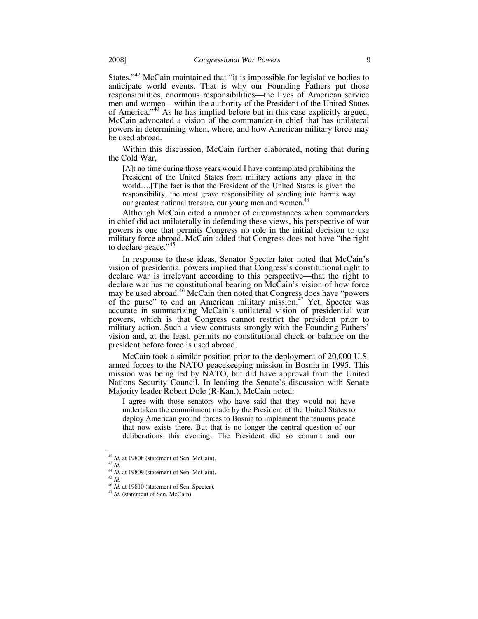States."<sup>42</sup> McCain maintained that "it is impossible for legislative bodies to anticipate world events. That is why our Founding Fathers put those responsibilities, enormous responsibilities—the lives of American service men and women—within the authority of the President of the United States of America."<sup>43</sup> As he has implied before but in this case explicitly argued, McCain advocated a vision of the commander in chief that has unilateral powers in determining when, where, and how American military force may be used abroad.

Within this discussion, McCain further elaborated, noting that during the Cold War,

[A]t no time during those years would I have contemplated prohibiting the President of the United States from military actions any place in the world….[T]he fact is that the President of the United States is given the responsibility, the most grave responsibility of sending into harms way our greatest national treasure, our young men and women.<sup>44</sup>

Although McCain cited a number of circumstances when commanders in chief did act unilaterally in defending these views, his perspective of war powers is one that permits Congress no role in the initial decision to use military force abroad. McCain added that Congress does not have "the right to declare peace."<sup>45</sup>

In response to these ideas, Senator Specter later noted that McCain's vision of presidential powers implied that Congress's constitutional right to declare war is irrelevant according to this perspective—that the right to declare war has no constitutional bearing on McCain's vision of how force may be used abroad.<sup>46</sup> McCain then noted that Congress does have "powers of the purse" to end an American military mission.<sup>47</sup> Yet, Specter was accurate in summarizing McCain's unilateral vision of presidential war powers, which is that Congress cannot restrict the president prior to military action. Such a view contrasts strongly with the Founding Fathers' vision and, at the least, permits no constitutional check or balance on the president before force is used abroad.

McCain took a similar position prior to the deployment of 20,000 U.S. armed forces to the NATO peacekeeping mission in Bosnia in 1995. This mission was being led by NATO, but did have approval from the United Nations Security Council. In leading the Senate's discussion with Senate Majority leader Robert Dole (R-Kan.), McCain noted:

I agree with those senators who have said that they would not have undertaken the commitment made by the President of the United States to deploy American ground forces to Bosnia to implement the tenuous peace that now exists there. But that is no longer the central question of our deliberations this evening. The President did so commit and our

<sup>42</sup> *Id.* at 19808 (statement of Sen. McCain). 43 *Id.* 

 $^{44}$  *Id.* at 19809 (statement of Sen. McCain).

<sup>46</sup> *Id.* at 19810 (statement of Sen. Specter).<br><sup>47</sup> *Id.* (statement of Sen. McCain).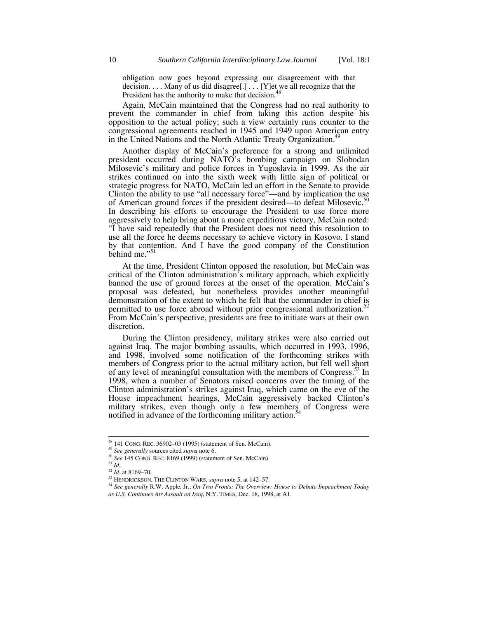obligation now goes beyond expressing our disagreement with that decision. . . . Many of us did disagree[.] . . . [Y]et we all recognize that the President has the authority to make that decision.<sup>48</sup>

Again, McCain maintained that the Congress had no real authority to prevent the commander in chief from taking this action despite his opposition to the actual policy; such a view certainly runs counter to the congressional agreements reached in 1945 and 1949 upon American entry in the United Nations and the North Atlantic Treaty Organization.<sup>4</sup>

Another display of McCain's preference for a strong and unlimited president occurred during NATO's bombing campaign on Slobodan Milosevic's military and police forces in Yugoslavia in 1999. As the air strikes continued on into the sixth week with little sign of political or strategic progress for NATO, McCain led an effort in the Senate to provide Strategic progress for February Committee and the instanton the use<br>Clinton the ability to use "all necessary force"—and by implication the use of American ground forces if the president desired—to defeat Milosevic.<sup>51</sup> In describing his efforts to encourage the President to use force more aggressively to help bring about a more expeditious victory, McCain noted: "I have said repeatedly that the President does not need this resolution to use all the force he deems necessary to achieve victory in Kosovo. I stand by that contention. And I have the good company of the Constitution behind me."<sup>51</sup>

At the time, President Clinton opposed the resolution, but McCain was critical of the Clinton administration's military approach, which explicitly banned the use of ground forces at the onset of the operation. McCain's proposal was defeated, but nonetheless provides another meaningful demonstration of the extent to which he felt that the commander in chief is permitted to use force abroad without prior congressional authorization.<sup>52</sup> From McCain's perspective, presidents are free to initiate wars at their own discretion.

During the Clinton presidency, military strikes were also carried out against Iraq. The major bombing assaults, which occurred in 1993, 1996, and 1998, involved some notification of the forthcoming strikes with members of Congress prior to the actual military action, but fell well short of any level of meaningful consultation with the members of Congress.<sup>33</sup> In 1998, when a number of Senators raised concerns over the timing of the Clinton administration's strikes against Iraq, which came on the eve of the House impeachment hearings, McCain aggressively backed Clinton's military strikes, even though only a few members of Congress were notified in advance of the forthcoming military action.<sup>5</sup>

<sup>&</sup>lt;sup>48</sup> 141 CONG. REC. 36902–03 (1995) (statement of Sen. McCain).<br><sup>49</sup> *See generally* sources cited *supra* note 6.<br><sup>50</sup> *See* 145 CONG. REC. 8169 (1999) (statement of Sen. McCain).<br><sup>51</sup> *Id.* <sup>52</sup> *Id.* at 8169–70.

<sup>&</sup>lt;sup>53</sup> HENDRICKSON, THE CLINTON WARS, *supra* note 5, at 142–57.<br><sup>54</sup> See generally R.W. Apple, Jr., *On Two Fronts: The Overview; House to Debate Impeachment Today as U.S. Continues Air Assault on Iraq*, N.Y. TIMES, Dec. 18, 1998, at A1.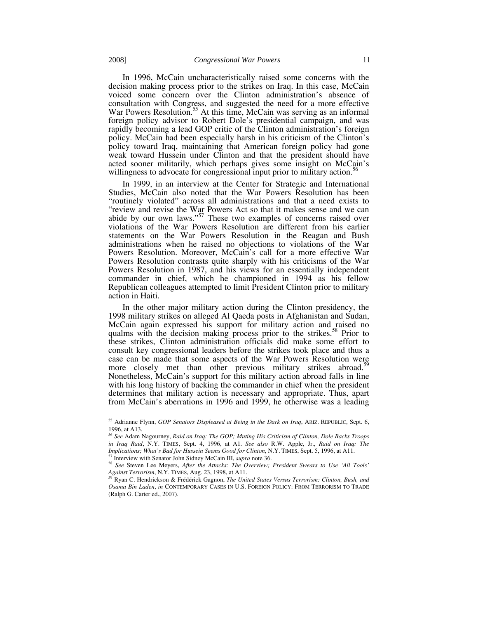In 1996, McCain uncharacteristically raised some concerns with the decision making process prior to the strikes on Iraq. In this case, McCain voiced some concern over the Clinton administration's absence of consultation with Congress, and suggested the need for a more effective War Powers Resolution.<sup>55</sup> At this time, McCain was serving as an informal foreign policy advisor to Robert Dole's presidential campaign, and was rapidly becoming a lead GOP critic of the Clinton administration's foreign policy. McCain had been especially harsh in his criticism of the Clinton's policy toward Iraq, maintaining that American foreign policy had gone weak toward Hussein under Clinton and that the president should have acted sooner militarily, which perhaps gives some insight on McCain's willingness to advocate for congressional input prior to military action.<sup>5</sup>

In 1999, in an interview at the Center for Strategic and International Studies, McCain also noted that the War Powers Resolution has been "routinely violated" across all administrations and that a need exists to "review and revise the War Powers Act so that it makes sense and we can abide by our own laws."<sup>57</sup> These two examples of concerns raised over violations of the War Powers Resolution are different from his earlier statements on the War Powers Resolution in the Reagan and Bush administrations when he raised no objections to violations of the War Powers Resolution. Moreover, McCain's call for a more effective War Powers Resolution contrasts quite sharply with his criticisms of the War Powers Resolution in 1987, and his views for an essentially independent commander in chief, which he championed in 1994 as his fellow Republican colleagues attempted to limit President Clinton prior to military action in Haiti.

In the other major military action during the Clinton presidency, the 1998 military strikes on alleged Al Qaeda posts in Afghanistan and Sudan, McCain again expressed his support for military action and raised no qualms with the decision making process prior to the strikes.<sup>58</sup> Prior to these strikes, Clinton administration officials did make some effort to consult key congressional leaders before the strikes took place and thus a case can be made that some aspects of the War Powers Resolution were more closely met than other previous military strikes abroad.<sup>59</sup> Nonetheless, McCain's support for this military action abroad falls in line with his long history of backing the commander in chief when the president determines that military action is necessary and appropriate. Thus, apart from McCain's aberrations in 1996 and 1999, he otherwise was a leading

 <sup>55</sup> Adrianne Flynn, *GOP Senators Displeased at Being in the Dark on Iraq*, ARIZ. REPUBLIC, Sept. 6, 1996, at A13.

<sup>56</sup> *See* Adam Nagourney, *Raid on Iraq: The GOP; Muting His Criticism of Clinton, Dole Backs Troops in Iraq Raid*, N.Y. TIMES, Sept. 4, 1996, at A1. *See also* R.W. Apple, Jr., *Raid on Iraq: The* 

<sup>&</sup>lt;sup>57</sup> Interview with Senator John Sidney McCain III, *supra* note 36.<br><sup>58</sup> See Steven Lee Meyers, *After the Attacks: The Overview; President Swears to Use 'All Tools'*<br>*Against Terrorism*, N.Y. TIMES, Aug. 23, 1998, at A1

*Again C. Hendrickson & Frédérick Gagnon, The United States Versus Terrorism: Clinton, Bush, and Osama Bin Laden*, *in* CONTEMPORARY CASES IN U.S. FOREIGN POLICY: FROM TERRORISM TO TRADE (Ralph G. Carter ed., 2007).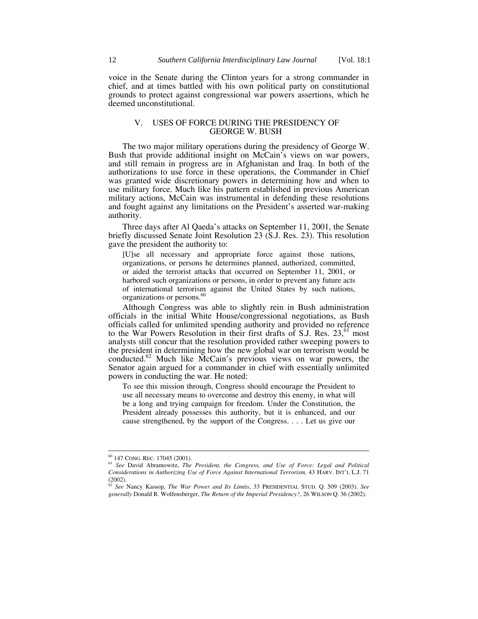voice in the Senate during the Clinton years for a strong commander in chief, and at times battled with his own political party on constitutional grounds to protect against congressional war powers assertions, which he deemed unconstitutional.

#### V. USES OF FORCE DURING THE PRESIDENCY OF GEORGE W. BUSH

The two major military operations during the presidency of George W. Bush that provide additional insight on McCain's views on war powers, and still remain in progress are in Afghanistan and Iraq. In both of the authorizations to use force in these operations, the Commander in Chief was granted wide discretionary powers in determining how and when to use military force. Much like his pattern established in previous American military actions, McCain was instrumental in defending these resolutions and fought against any limitations on the President's asserted war-making authority.

Three days after Al Qaeda's attacks on September 11, 2001, the Senate briefly discussed Senate Joint Resolution 23 (S.J. Res. 23). This resolution gave the president the authority to:

[U]se all necessary and appropriate force against those nations, organizations, or persons he determines planned, authorized, committed, or aided the terrorist attacks that occurred on September 11, 2001, or harbored such organizations or persons, in order to prevent any future acts of international terrorism against the United States by such nations, organizations or persons.<sup>60</sup>

Although Congress was able to slightly rein in Bush administration officials in the initial White House/congressional negotiations, as Bush officials called for unlimited spending authority and provided no reference to the War Powers Resolution in their first drafts of S.J. Res.  $23$ ,  $61$  most analysts still concur that the resolution provided rather sweeping powers to the president in determining how the new global war on terrorism would be conducted.<sup>62</sup> Much like McCain's previous views on war powers, the Senator again argued for a commander in chief with essentially unlimited powers in conducting the war. He noted:

To see this mission through, Congress should encourage the President to use all necessary means to overcome and destroy this enemy, in what will be a long and trying campaign for freedom. Under the Constitution, the President already possesses this authority, but it is enhanced, and our cause strengthened, by the support of the Congress. . . . Let us give our

 <sup>60 147</sup> CONG. REC. 17045 (2001). 61 *See* David Abramowitz, *The President, the Congress, and Use of Force: Legal and Political Considerations in Authorizing Use of Force Against International Terrorism,* 43 HARV. INT'L L.J. 71 (2002).

<sup>62</sup> *See* Nancy Kassop, *The War Power and Its Limits*, 33 PRESIDENTIAL STUD. Q. 509 (2003). *See generally* Donald R. Wolfensberger, *The Return of the Imperial Presidency?*, 26 WILSON Q. 36 (2002).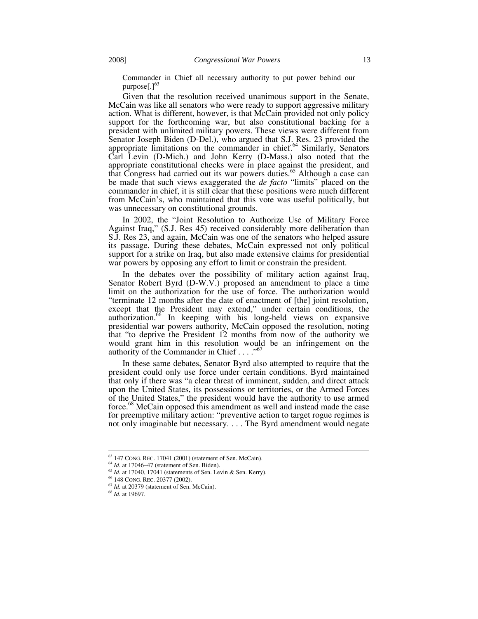Commander in Chief all necessary authority to put power behind our purpose $[.]^{63}$ 

Given that the resolution received unanimous support in the Senate, McCain was like all senators who were ready to support aggressive military action. What is different, however, is that McCain provided not only policy support for the forthcoming war, but also constitutional backing for a president with unlimited military powers. These views were different from Senator Joseph Biden (D-Del.), who argued that S.J. Res. 23 provided the appropriate limitations on the commander in chief.<sup>64</sup> Similarly, Senators Carl Levin (D-Mich.) and John Kerry (D-Mass.) also noted that the appropriate constitutional checks were in place against the president, and that Congress had carried out its war powers duties.<sup>65</sup> Although a case can be made that such views exaggerated the *de facto* "limits" placed on the commander in chief, it is still clear that these positions were much different from McCain's, who maintained that this vote was useful politically, but was unnecessary on constitutional grounds.

In 2002, the "Joint Resolution to Authorize Use of Military Force Against Iraq," (S.J. Res 45) received considerably more deliberation than S.J. Res 23, and again, McCain was one of the senators who helped assure its passage. During these debates, McCain expressed not only political support for a strike on Iraq, but also made extensive claims for presidential war powers by opposing any effort to limit or constrain the president.

In the debates over the possibility of military action against Iraq, Senator Robert Byrd (D-W.V.) proposed an amendment to place a time limit on the authorization for the use of force. The authorization would "terminate 12 months after the date of enactment of [the] joint resolution, except that the President may extend," under certain conditions, the authorization.66 In keeping with his long-held views on expansive presidential war powers authority, McCain opposed the resolution, noting that "to deprive the President 12 months from now of the authority we would grant him in this resolution would be an infringement on the authority of the Commander in Chief . . . . "<sup>6</sup>

In these same debates, Senator Byrd also attempted to require that the president could only use force under certain conditions. Byrd maintained that only if there was "a clear threat of imminent, sudden, and direct attack upon the United States, its possessions or territories, or the Armed Forces of the United States," the president would have the authority to use armed force.68 McCain opposed this amendment as well and instead made the case for preemptive military action: "preventive action to target rogue regimes is not only imaginable but necessary. . . . The Byrd amendment would negate

<sup>&</sup>lt;sup>63</sup> 147 CONG. REC. 17041 (2001) (statement of Sen. McCain).<br><sup>64</sup> *Id.* at 17046–47 (statement of Sen. Biden).<br><sup>65</sup> *Id.* at 17040, 17041 (statements of Sen. Levin & Sen. Kerry).<br><sup>66</sup> 148 CONG. REC. 20377 (2002).<br><sup>67</sup> *Id*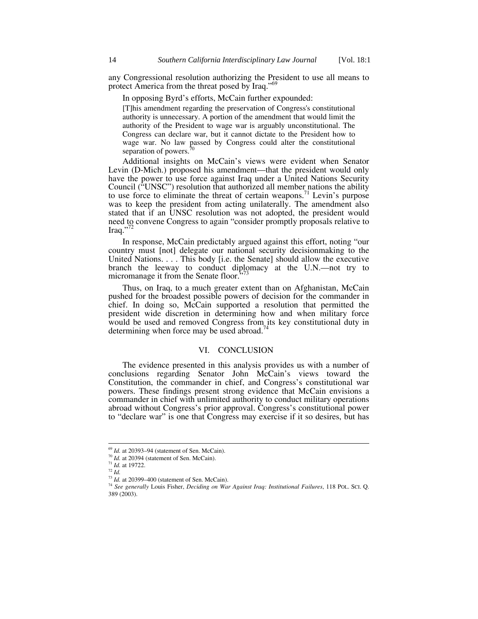any Congressional resolution authorizing the President to use all means to protect America from the threat posed by Iraq."<sup>69</sup>

In opposing Byrd's efforts, McCain further expounded:

[T]his amendment regarding the preservation of Congress's constitutional authority is unnecessary. A portion of the amendment that would limit the authority of the President to wage war is arguably unconstitutional. The Congress can declare war, but it cannot dictate to the President how to wage war. No law passed by Congress could alter the constitutional separation of powers.<sup>70</sup>

Additional insights on McCain's views were evident when Senator Levin (D-Mich.) proposed his amendment—that the president would only have the power to use force against Iraq under a United Nations Security Council ("UNSC") resolution that authorized all member nations the ability to use force to eliminate the threat of certain weapons.<sup>71</sup> Levin's purpose was to keep the president from acting unilaterally. The amendment also stated that if an UNSC resolution was not adopted, the president would need to convene Congress to again "consider promptly proposals relative to Iraq." $^{72}$ 

In response, McCain predictably argued against this effort, noting "our country must [not] delegate our national security decisionmaking to the United Nations. . . . This body [i.e. the Senate] should allow the executive branch the leeway to conduct diplomacy at the U.N.—not try to micromanage it from the Senate floor."

Thus, on Iraq, to a much greater extent than on Afghanistan, McCain pushed for the broadest possible powers of decision for the commander in chief. In doing so, McCain supported a resolution that permitted the president wide discretion in determining how and when military force would be used and removed Congress from its key constitutional duty in determining when force may be used abroad.<sup>7</sup>

#### VI. CONCLUSION

The evidence presented in this analysis provides us with a number of conclusions regarding Senator John McCain's views toward the Constitution, the commander in chief, and Congress's constitutional war powers. These findings present strong evidence that McCain envisions a commander in chief with unlimited authority to conduct military operations abroad without Congress's prior approval. Congress's constitutional power to "declare war" is one that Congress may exercise if it so desires, but has

<sup>&</sup>lt;sup>69</sup> *Id.* at 20393–94 (statement of Sen. McCain).<br><sup>70</sup> *Id.* at 20394 (statement of Sen. McCain).<br><sup>71</sup> *Id.* at 19722.<br><sup>73</sup> *Id.* at 20399–400 (statement of Sen. McCain).

<sup>&</sup>lt;sup>74</sup> See generally Louis Fisher, *Deciding on War Against Iraq: Institutional Failures*, 118 POL. SCI. Q. 389 (2003).